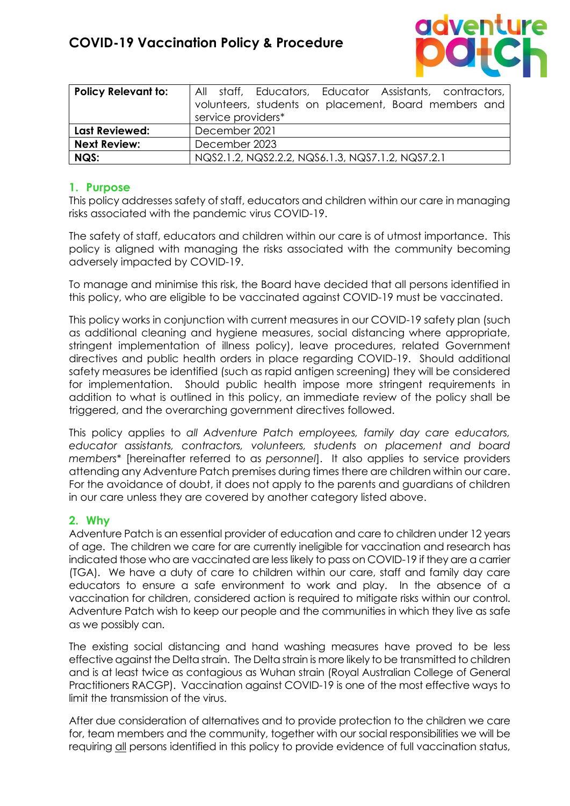

| <b>Policy Relevant to:</b> | All staff, Educators, Educator Assistants, contractors,<br>volunteers, students on placement, Board members and<br>service providers* |
|----------------------------|---------------------------------------------------------------------------------------------------------------------------------------|
| <b>Last Reviewed:</b>      | December 2021                                                                                                                         |
| <b>Next Review:</b>        | December 2023                                                                                                                         |
| NQS:                       | NQS2.1.2, NQS2.2.2, NQS6.1.3, NQS7.1.2, NQS7.2.1                                                                                      |

### **1. Purpose**

This policy addresses safety of staff, educators and children within our care in managing risks associated with the pandemic virus COVID-19.

The safety of staff, educators and children within our care is of utmost importance. This policy is aligned with managing the risks associated with the community becoming adversely impacted by COVID-19.

To manage and minimise this risk, the Board have decided that all persons identified in this policy, who are eligible to be vaccinated against COVID-19 must be vaccinated.

This policy works in conjunction with current measures in our COVID-19 safety plan (such as additional cleaning and hygiene measures, social distancing where appropriate, stringent implementation of illness policy), leave procedures, related Government directives and public health orders in place regarding COVID-19. Should additional safety measures be identified (such as rapid antigen screening) they will be considered for implementation. Should public health impose more stringent requirements in addition to what is outlined in this policy, an immediate review of the policy shall be triggered, and the overarching government directives followed.

This policy applies to *all Adventure Patch employees, family day care educators, educator assistants, contractors, volunteers, students on placement and board members*\* [hereinafter referred to as *personnel*]. It also applies to service providers attending any Adventure Patch premises during times there are children within our care. For the avoidance of doubt, it does not apply to the parents and guardians of children in our care unless they are covered by another category listed above.

#### **2. Why**

Adventure Patch is an essential provider of education and care to children under 12 years of age. The children we care for are currently ineligible for vaccination and research has indicated those who are vaccinated are less likely to pass on COVID-19 if they are a carrier (TGA). We have a duty of care to children within our care, staff and family day care educators to ensure a safe environment to work and play. In the absence of a vaccination for children, considered action is required to mitigate risks within our control. Adventure Patch wish to keep our people and the communities in which they live as safe as we possibly can.

The existing social distancing and hand washing measures have proved to be less effective against the Delta strain. The Delta strain is more likely to be transmitted to children and is at least twice as contagious as Wuhan strain (Royal Australian College of General Practitioners RACGP). Vaccination against COVID-19 is one of the most effective ways to limit the transmission of the virus.

After due consideration of alternatives and to provide protection to the children we care for, team members and the community, together with our social responsibilities we will be requiring all persons identified in this policy to provide evidence of full vaccination status,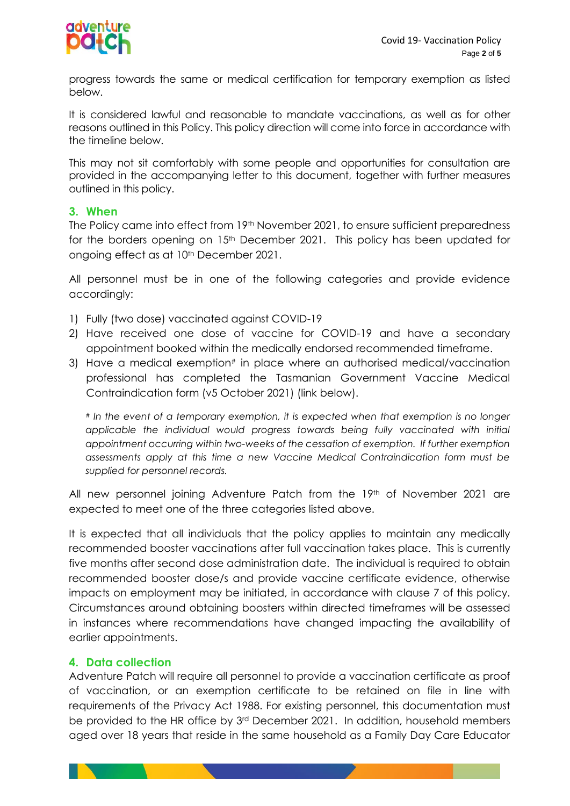

progress towards the same or medical certification for temporary exemption as listed below.

It is considered lawful and reasonable to mandate vaccinations, as well as for other reasons outlined in this Policy. This policy direction will come into force in accordance with the timeline below.

This may not sit comfortably with some people and opportunities for consultation are provided in the accompanying letter to this document, together with further measures outlined in this policy.

#### **3. When**

The Policy came into effect from 19th November 2021, to ensure sufficient preparedness for the borders opening on 15<sup>th</sup> December 2021. This policy has been updated for ongoing effect as at 10<sup>th</sup> December 2021.

All personnel must be in one of the following categories and provide evidence accordingly:

- 1) Fully (two dose) vaccinated against COVID-19
- 2) Have received one dose of vaccine for COVID-19 and have a secondary appointment booked within the medically endorsed recommended timeframe.
- 3) Have a medical exemption# in place where an authorised medical/vaccination professional has completed the Tasmanian Government Vaccine Medical Contraindication form (v5 October 2021) (link below).

*# In the event of a temporary exemption, it is expected when that exemption is no longer*  applicable the individual would progress towards being fully vaccinated with initial *appointment occurring within two-weeks of the cessation of exemption. If further exemption assessments apply at this time a new Vaccine Medical Contraindication form must be supplied for personnel records.*

All new personnel joining Adventure Patch from the 19<sup>th</sup> of November 2021 are expected to meet one of the three categories listed above.

It is expected that all individuals that the policy applies to maintain any medically recommended booster vaccinations after full vaccination takes place. This is currently five months after second dose administration date. The individual is required to obtain recommended booster dose/s and provide vaccine certificate evidence, otherwise impacts on employment may be initiated, in accordance with clause 7 of this policy. Circumstances around obtaining boosters within directed timeframes will be assessed in instances where recommendations have changed impacting the availability of earlier appointments.

#### **4. Data collection**

Adventure Patch will require all personnel to provide a vaccination certificate as proof of vaccination, or an exemption certificate to be retained on file in line with requirements of the Privacy Act 1988. For existing personnel, this documentation must be provided to the HR office by 3rd December 2021. In addition, household members aged over 18 years that reside in the same household as a Family Day Care Educator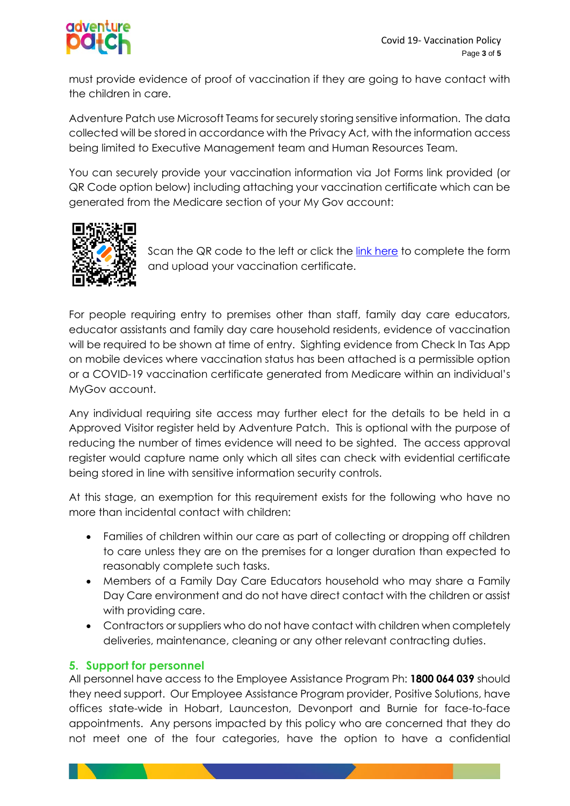

must provide evidence of proof of vaccination if they are going to have contact with the children in care.

Adventure Patch use Microsoft Teams for securely storing sensitive information. The data collected will be stored in accordance with the Privacy Act, with the information access being limited to Executive Management team and Human Resources Team.

You can securely provide your vaccination information via Jot Forms link provided (or QR Code option below) including attaching your vaccination certificate which can be generated from the Medicare section of your My Gov account:



Scan the QR code to the left or click the [link here](https://form.jotform.com/213146419577057) to complete the form and upload your vaccination certificate.

For people requiring entry to premises other than staff, family day care educators, educator assistants and family day care household residents, evidence of vaccination will be required to be shown at time of entry. Sighting evidence from Check In Tas App on mobile devices where vaccination status has been attached is a permissible option or a COVID-19 vaccination certificate generated from Medicare within an individual's MyGov account.

Any individual requiring site access may further elect for the details to be held in a Approved Visitor register held by Adventure Patch. This is optional with the purpose of reducing the number of times evidence will need to be sighted. The access approval register would capture name only which all sites can check with evidential certificate being stored in line with sensitive information security controls.

At this stage, an exemption for this requirement exists for the following who have no more than incidental contact with children:

- Families of children within our care as part of collecting or dropping off children to care unless they are on the premises for a longer duration than expected to reasonably complete such tasks.
- Members of a Family Day Care Educators household who may share a Family Day Care environment and do not have direct contact with the children or assist with providing care.
- Contractors or suppliers who do not have contact with children when completely deliveries, maintenance, cleaning or any other relevant contracting duties.

## **5. Support for personnel**

All personnel have access to the Employee Assistance Program Ph: **1800 064 039** should they need support. Our Employee Assistance Program provider, Positive Solutions, have offices state-wide in Hobart, Launceston, Devonport and Burnie for face-to-face appointments. Any persons impacted by this policy who are concerned that they do not meet one of the four categories, have the option to have a confidential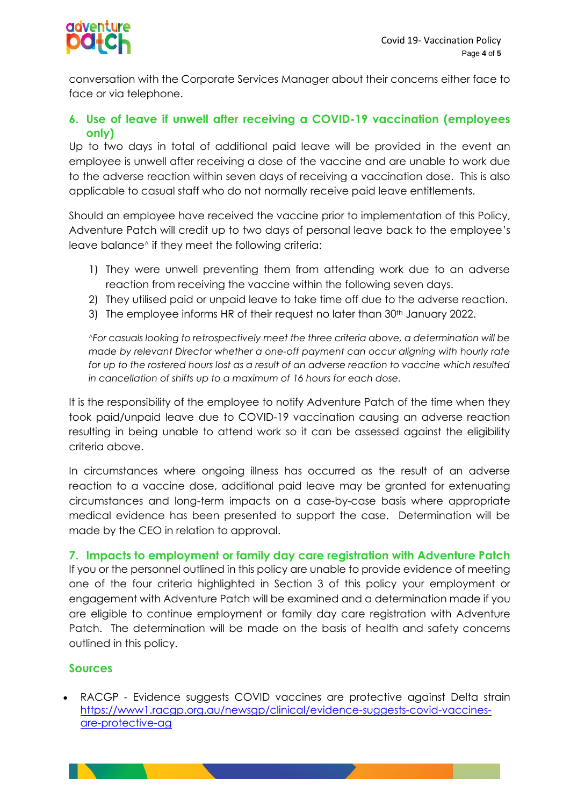

conversation with the Corporate Services Manager about their concerns either face to face or via telephone.

## **6. Use of leave if unwell after receiving a COVID-19 vaccination (employees only)**

Up to two days in total of additional paid leave will be provided in the event an employee is unwell after receiving a dose of the vaccine and are unable to work due to the adverse reaction within seven days of receiving a vaccination dose. This is also applicable to casual staff who do not normally receive paid leave entitlements.

Should an employee have received the vaccine prior to implementation of this Policy, Adventure Patch will credit up to two days of personal leave back to the employee's leave balance<sup>^</sup> if they meet the following criteria:

- 1) They were unwell preventing them from attending work due to an adverse reaction from receiving the vaccine within the following seven days.
- 2) They utilised paid or unpaid leave to take time off due to the adverse reaction.
- 3) The employee informs HR of their request no later than 30th January 2022.

*^For casuals looking to retrospectively meet the three criteria above, a determination will be made by relevant Director whether a one-off payment can occur aligning with hourly rate for up to the rostered hours lost as a result of an adverse reaction to vaccine which resulted in cancellation of shifts up to a maximum of 16 hours for each dose.*

It is the responsibility of the employee to notify Adventure Patch of the time when they took paid/unpaid leave due to COVID-19 vaccination causing an adverse reaction resulting in being unable to attend work so it can be assessed against the eligibility criteria above.

In circumstances where ongoing illness has occurred as the result of an adverse reaction to a vaccine dose, additional paid leave may be granted for extenuating circumstances and long-term impacts on a case-by-case basis where appropriate medical evidence has been presented to support the case. Determination will be made by the CEO in relation to approval.

# **7. Impacts to employment or family day care registration with Adventure Patch**

If you or the personnel outlined in this policy are unable to provide evidence of meeting one of the four criteria highlighted in Section 3 of this policy your employment or engagement with Adventure Patch will be examined and a determination made if you are eligible to continue employment or family day care registration with Adventure Patch. The determination will be made on the basis of health and safety concerns outlined in this policy.

## **Sources**

• RACGP - Evidence suggests COVID vaccines are protective against Delta strain [https://www1.racgp.org.au/newsgp/clinical/evidence-suggests-covid-vaccines](https://www1.racgp.org.au/newsgp/clinical/evidence-suggests-covid-vaccines-are-protective-ag)[are-protective-ag](https://www1.racgp.org.au/newsgp/clinical/evidence-suggests-covid-vaccines-are-protective-ag)